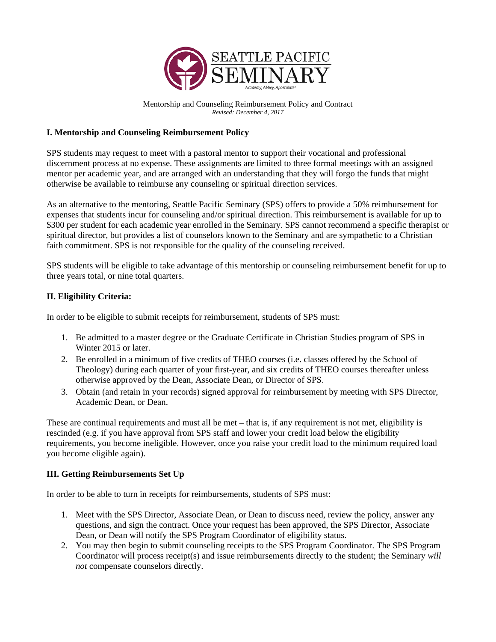

Mentorship and Counseling Reimbursement Policy and Contract *Revised: December 4, 2017*

## **I. Mentorship and Counseling Reimbursement Policy**

SPS students may request to meet with a pastoral mentor to support their vocational and professional discernment process at no expense. These assignments are limited to three formal meetings with an assigned mentor per academic year, and are arranged with an understanding that they will forgo the funds that might otherwise be available to reimburse any counseling or spiritual direction services.

As an alternative to the mentoring, Seattle Pacific Seminary (SPS) offers to provide a 50% reimbursement for expenses that students incur for counseling and/or spiritual direction. This reimbursement is available for up to \$300 per student for each academic year enrolled in the Seminary. SPS cannot recommend a specific therapist or spiritual director, but provides a list of counselors known to the Seminary and are sympathetic to a Christian faith commitment. SPS is not responsible for the quality of the counseling received.

SPS students will be eligible to take advantage of this mentorship or counseling reimbursement benefit for up to three years total, or nine total quarters.

## **II. Eligibility Criteria:**

In order to be eligible to submit receipts for reimbursement, students of SPS must:

- 1. Be admitted to a master degree or the Graduate Certificate in Christian Studies program of SPS in Winter 2015 or later.
- 2. Be enrolled in a minimum of five credits of THEO courses (i.e. classes offered by the School of Theology) during each quarter of your first-year, and six credits of THEO courses thereafter unless otherwise approved by the Dean, Associate Dean, or Director of SPS.
- 3. Obtain (and retain in your records) signed approval for reimbursement by meeting with SPS Director, Academic Dean, or Dean.

These are continual requirements and must all be met – that is, if any requirement is not met, eligibility is rescinded (e.g. if you have approval from SPS staff and lower your credit load below the eligibility requirements, you become ineligible. However, once you raise your credit load to the minimum required load you become eligible again).

## **III. Getting Reimbursements Set Up**

In order to be able to turn in receipts for reimbursements, students of SPS must:

- 1. Meet with the SPS Director, Associate Dean, or Dean to discuss need, review the policy, answer any questions, and sign the contract. Once your request has been approved, the SPS Director, Associate Dean, or Dean will notify the SPS Program Coordinator of eligibility status.
- 2. You may then begin to submit counseling receipts to the SPS Program Coordinator. The SPS Program Coordinator will process receipt(s) and issue reimbursements directly to the student; the Seminary *will not* compensate counselors directly.